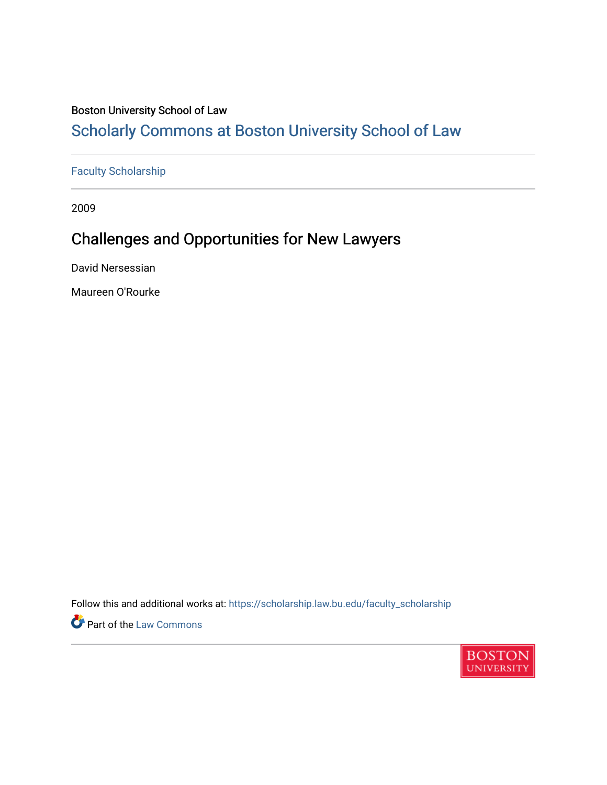#### Boston University School of Law

## [Scholarly Commons at Boston University School of Law](https://scholarship.law.bu.edu/)

#### [Faculty Scholarship](https://scholarship.law.bu.edu/faculty_scholarship)

2009

## Challenges and Opportunities for New Lawyers

David Nersessian

Maureen O'Rourke

Follow this and additional works at: [https://scholarship.law.bu.edu/faculty\\_scholarship](https://scholarship.law.bu.edu/faculty_scholarship?utm_source=scholarship.law.bu.edu%2Ffaculty_scholarship%2F2113&utm_medium=PDF&utm_campaign=PDFCoverPages)

**Part of the [Law Commons](https://network.bepress.com/hgg/discipline/578?utm_source=scholarship.law.bu.edu%2Ffaculty_scholarship%2F2113&utm_medium=PDF&utm_campaign=PDFCoverPages)** 

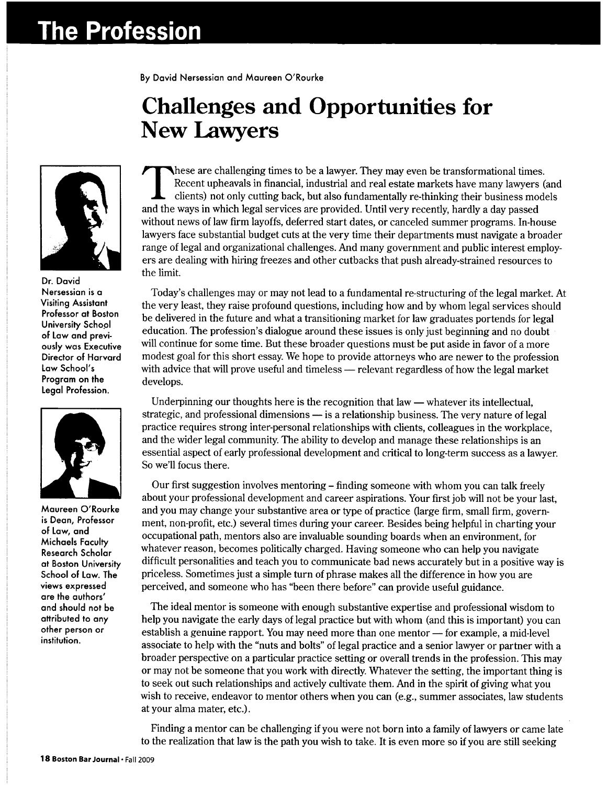# **The Profession**

**By David Nersessian and Maureen O'Rourke**

## **Challenges and Opportunities for New Lawyers**



**Dr. David Nersessian is a Visiting Assistant Professor at Boston University School of Law and previously was Executive Director of Harvard Law School's Program on the Legal Profession.**



**Maureen O'Rourke is Dean, Professor of Law, and Michaels Faculty Research Scholar at Boston University School of Law. The views expressed are the authors' and should not be attributed to any other person or institution.**

hese are challenging times to be a lawyer. They may even be transformational times. Recent upheavals in financial, industrial and real estate markets have many lawyers (and clients) not only cutting back, but also fundamentally re-thinking their business models and the ways in which legal services are provided. Until very recently, hardly a day passed without news of law firm layoffs, deferred start dates, or canceled summer programs. In-house lawyers face substantial budget cuts at the very time their departments must navigate a broader range of legal and organizational challenges. And many government and public interest employers are dealing with hiring freezes and other cutbacks that push already-strained resources to the limit.

Today's challenges may or may not lead to a fundamental re-structuring of the legal market. At the very least, they raise profound questions, including how and by whom legal services should be delivered in the future and what a transitioning market for law graduates portends for legal education. The profession's dialogue around these issues is only just beginning and no doubt will continue for some time. But these broader questions must be put aside in favor of a more modest goal for this short essay. We hope to provide attorneys who are newer to the profession with advice that will prove useful and timeless — relevant regardless of how the legal market develops.

Underpinning our thoughts here is the recognition that law  $-$  whatever its intellectual, strategic, and professional dimensions — is a relationship business. The very nature of legal practice requires strong inter-personal relationships with clients, colleagues in the workplace, and the wider legal community. The ability to develop and manage these relationships is an essential aspect of early professional development and critical to long-term success as a lawyer. So we'll focus there.

Our first suggestion involves mentoring - finding someone with whom you can talk freely about your professional development and career aspirations. Your first job will not be your last, and you may change your substantive area or type of practice (large firm, small firm, government, non-profit, etc.) several times during your career. Besides being helpful in charting your occupational path, mentors also are invaluable sounding boards when an environment, for whatever reason, becomes politically charged. Having someone who can help you navigate difficult personalities and teach you to communicate bad news accurately but in a positive way is priceless. Sometimes just a simple turn of phrase makes all the difference in how you are perceived, and someone who has "been there before" can provide useful guidance.

The ideal mentor is someone with enough substantive expertise and professional wisdom to help you navigate the early days of legal practice but with whom (and this is important) you can establish a genuine rapport. You may need more than one mentor  $-$  for example, a mid-level associate to help with the "nuts and bolts" of legal practice and a senior lawyer or partner with a broader perspective on a particular practice setting or overall trends in the profession. This may or may not be someone that you work with directly. Whatever the setting, the important thing is to seek out such relationships and actively cultivate them. And in the spirit of giving what you wish to receive, endeavor to mentor others when you can (e.g., summer associates, law students at your alma mater, etc.).

Finding a mentor can be challenging if you were not born into a family of lawyers or came late to the realization that law is the path you wish to take. It is even more so if you are still seeking